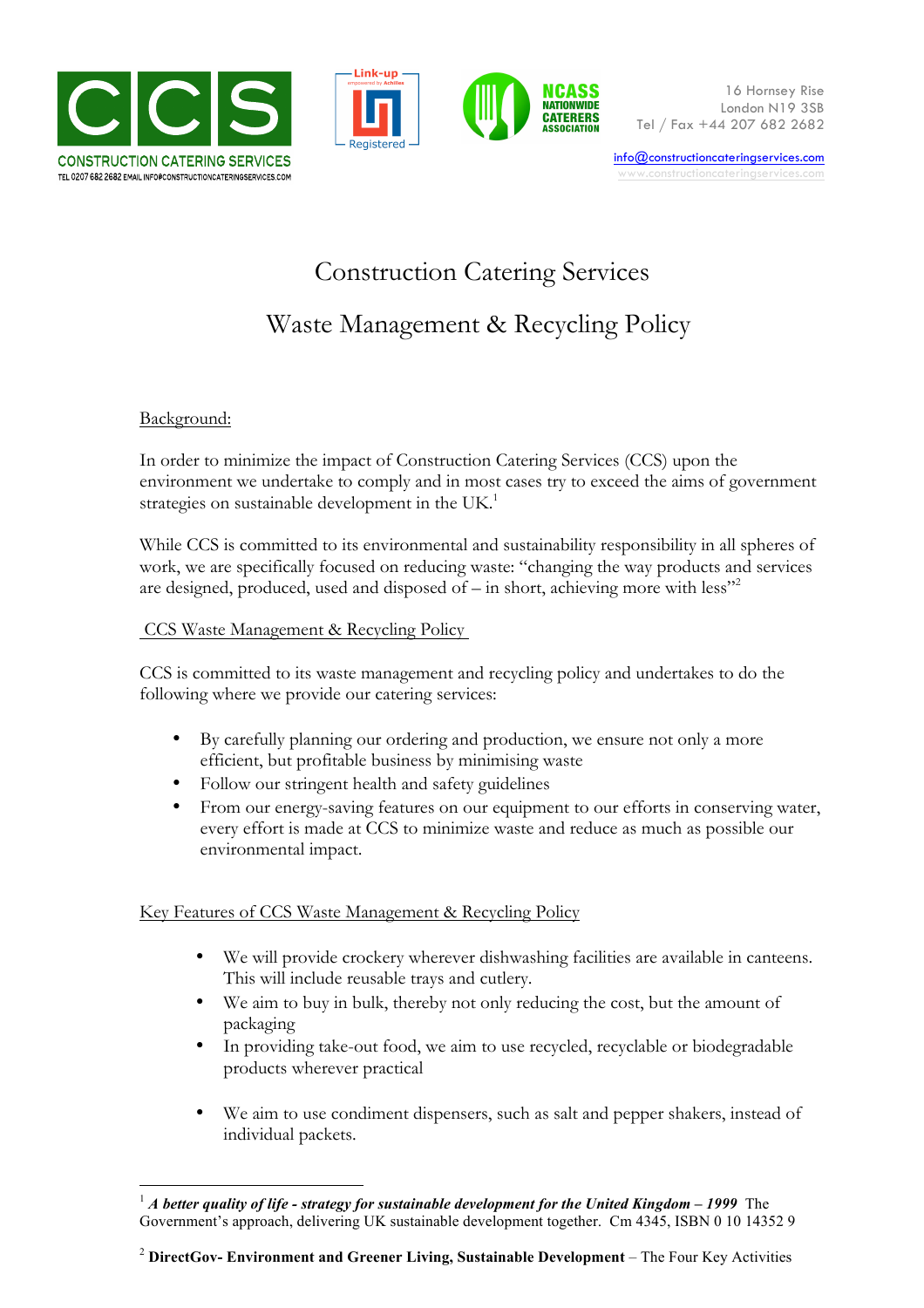





info@constructioncateringservices.com www.constructioncaterinaservices.co

# Construction Catering Services

## Waste Management & Recycling Policy

### Background:

In order to minimize the impact of Construction Catering Services (CCS) upon the environment we undertake to comply and in most cases try to exceed the aims of government strategies on sustainable development in the UK.<sup>1</sup>

While CCS is committed to its environmental and sustainability responsibility in all spheres of work, we are specifically focused on reducing waste: "changing the way products and services are designed, produced, used and disposed of  $-$  in short, achieving more with less"<sup>2</sup>

#### CCS Waste Management & Recycling Policy

CCS is committed to its waste management and recycling policy and undertakes to do the following where we provide our catering services:

- By carefully planning our ordering and production, we ensure not only a more efficient, but profitable business by minimising waste
- Follow our stringent health and safety guidelines
- From our energy-saving features on our equipment to our efforts in conserving water, every effort is made at CCS to minimize waste and reduce as much as possible our environmental impact.

#### Key Features of CCS Waste Management & Recycling Policy

- We will provide crockery wherever dishwashing facilities are available in canteens. This will include reusable trays and cutlery.
- We aim to buy in bulk, thereby not only reducing the cost, but the amount of packaging
- In providing take-out food, we aim to use recycled, recyclable or biodegradable products wherever practical
- We aim to use condiment dispensers, such as salt and pepper shakers, instead of individual packets.

 <sup>1</sup> *A better quality of life - strategy for sustainable development for the United Kingdom – <sup>1999</sup>*The Government's approach, delivering UK sustainable development together.Cm 4345, ISBN 0 10 14352 9

<sup>2</sup> **DirectGov- Environment and Greener Living, Sustainable Development** – The Four Key Activities